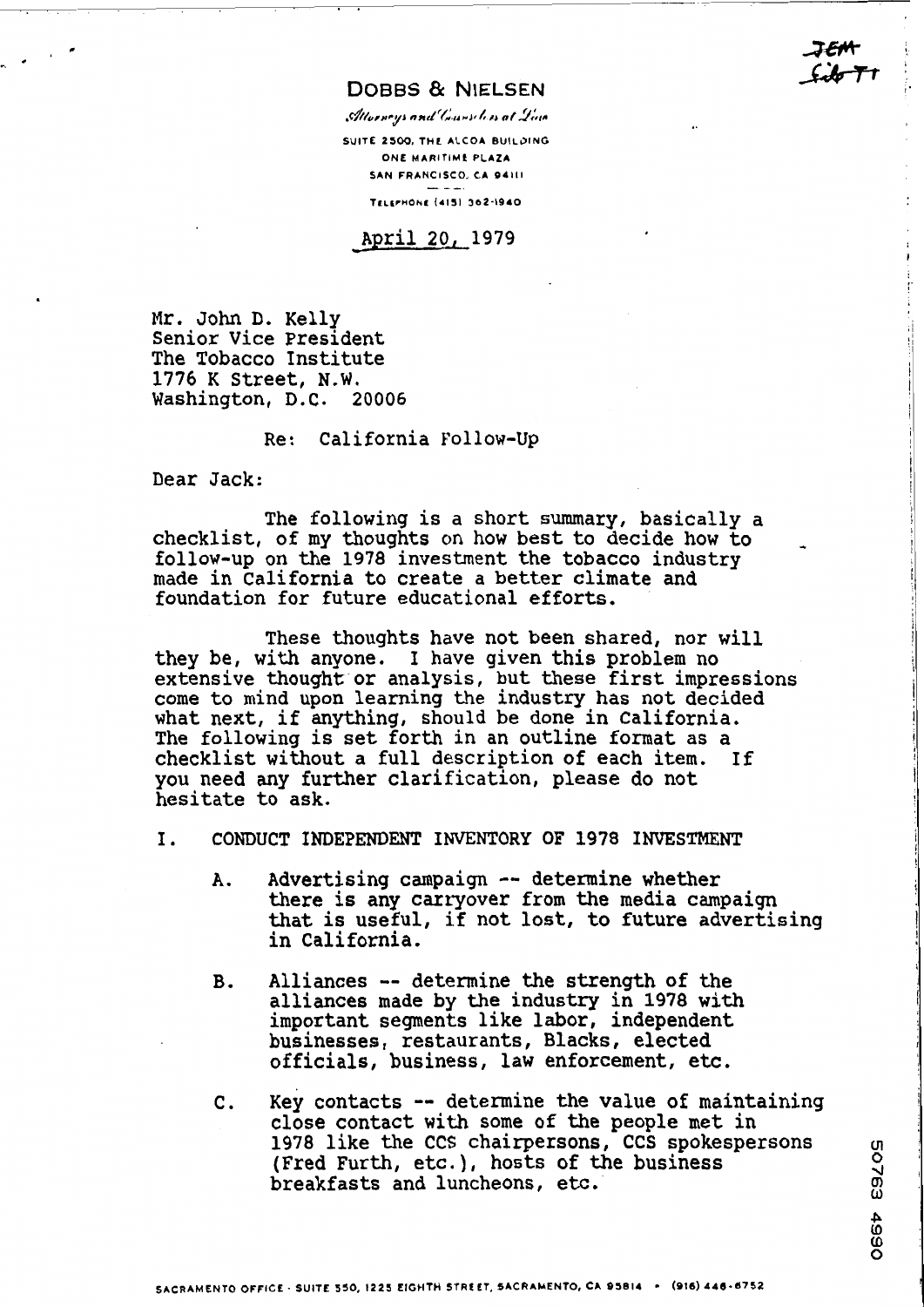**DOBBS & NIELSEN** 

Allorneys and Counseless at Line

**SUITE 2500. THC ALCOA BUILOING ONE MARlTlMf PLAZA SAN FRANCISCO, CA 94111**  EITIME<br>DISCO,<br>----**Te~rrnO~r (4131 362-1940** 

April 20, **1979** 

Mr. John D. Kelly Senior Vice President The Tobacco Institute 1776 **K** Street, N.W. Washington, D.C. 20006

Re: California Follow-Up

Dear Jack:

The following is a short summary, basically a checklist, of my thoughts on how best to decide how to follow-up on the **1978** investment the tobacco industry made in California to create a better climate and foundation for future educational efforts.

These thoughts have not been shared, nor will they be, with anyone. I have given this problem no extensive thought or analysis, but these first impressions come to mind upon learning the industry has not decided what next, if anything, should be done in California. The following is set forth in an outline format **as** a checklist without a full description of each item. **If**  you need any further clarification, please do not hesitate to ask.

- I. CONDUCT INDEPENDENT INVENTORY OF **1978 INVESTMENT** 
	- A. Advertising campaign -- determine whether there is any carryover from the media campaign<br>that is useful, if not lost, to future advertising in California.
	- **B.** Alliances -- determine **the** strength of the alliances made by the industry in **1978** with important segments like labor, independent businesses, restaurants, Blacks, elected officials, business, law enforcement, etc.
	- **C.** Key contacts -- determine the value of maintaining close contact with some of the people met in 1978 like the CCS chairpersons, CCS spokespersons (Fred Furth, etc.), hosts of the business of the business of the business of the business of the business of the business of the business of the business of the business of (Fred Furth, etc.), hosts of the business breakfasts and luncheons, etc.

 $\begin{array}{c} \begin{array}{c} \begin{array}{c} \begin{array}{c} \begin{array}{c} \end{array} \end{array} \\ \begin{array}{c} \end{array} \end{array} \end{array} \end{array}$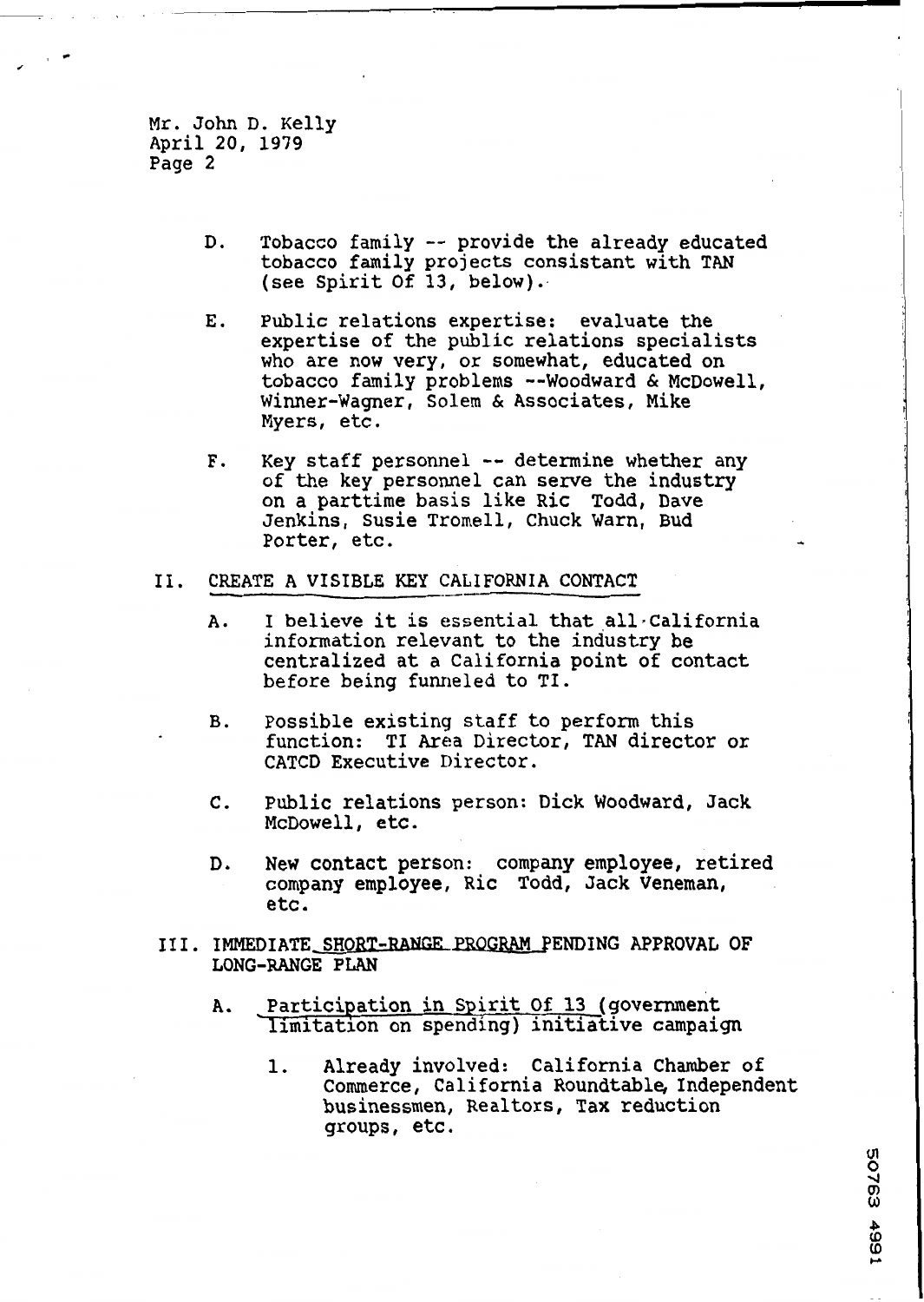Mr. John D. Kelly April 20, 1979 Page 2

- D. Tobacco family -- provide the already educated obacco family projects consistant with TAN<br>see Spirit Of 13, below).
- **E.** Public relations expertise: evaluate the expertise of the public relations specialists who are now very, or somewhat, educated on tobacco family problems --Woodward & McDowell, Winner-Wagner, Solem & Associates, Mike Myers, etc.
- F. Key staff personnel -- determine whether any of the key personnel can serve the industry on a parttime basis like Ric Todd, Dave enkins, Susie Tromell, Chuck Warn, Bud Porter, etc. **<sup>4</sup>**
- II. CREATE A VISIBLE KEY CALIFORNIA CONTACT
	- A. I believe it is essential that all California information relevant to the industry be centralized at a California point of contact before being funneled to TI.
	- **B.** possible existing staff to perform this function: TI **Area** Director, TAN director or CATCD Executive Director.
	- **C.** Public relations person: Dick Woodward, Jack McDowell, etc.
	- **D.** New contact person: company employee, retired company employee, Ric Todd, Jack Veneman, etc.
- 111. IMMEDIATE SHORT-RANGE PROGRAM PENDING APPROVAL OF **LONG-RANGE PLAN** 
	- A. Participation in Spirit Of 13 (government limitation on spending) initiative campaign
		- 1. Already involved: California Chamber of Commerce, California Roundtable, Independent businessmen, Realtors, **Tax** reduction groups, etc.

50763 4991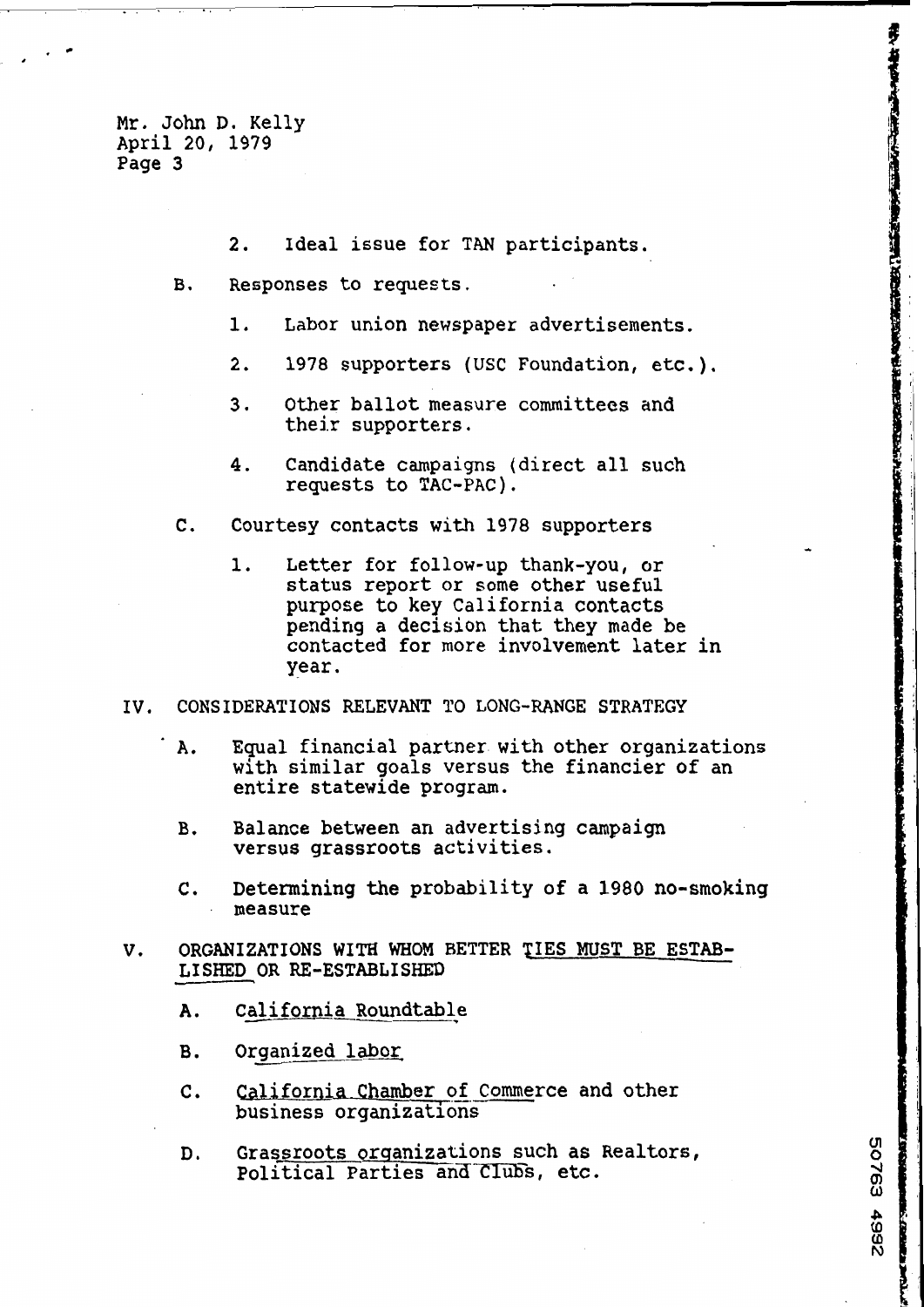Mr. John D. Kelly April 20, 1979 Page 3

- **2.** Ideal issue for TAN participants.
- B. Responses to requests.
	- 1. Labor union newspaper advertisements.
	- 2. 1978 supporters (USC Foundation, etc.).

**RANCHARD** 

50763

**25657** 

- **3.** Other ballot measure committees and their supporters,
- 4. Candidate campaigns (direct all such requests to TAC-PAC),
- **C.** Courtesy contacts with 1978 supporters
	- 1. Letter for follow-up thank-you, or status report or some other useful purpose to key California contacts pending a decision that they made be contacted for more involvement later in year.
- **IV, CONSIDERATIONS RELEVANT TO LONG-RANGE STRATEGY** 
	- **A.** Equal financial partner with other organizations with similar goals versus the financier of an entire statewide program.
	- **B.** Balance between an advertising campaign versus grassroots activities.
	- **C.** Determining **the** probability of a 1980 no-smoking measure
- **V. ORGANIZATIONS WITH WHOM BETTER TIES MUST BE ESTAB-LISHED OR RE-ESTABLISHED**<br> **California Roundtable**<br> **B. Organized labor**<br> **B. Alifornia Roundtable** 
	-
	-
	- **C.** California Chamber of Commerce and other business organizations
	- D. Grassroots orqanizations such **as** Realtors, Political Parties and Clubs, etc.